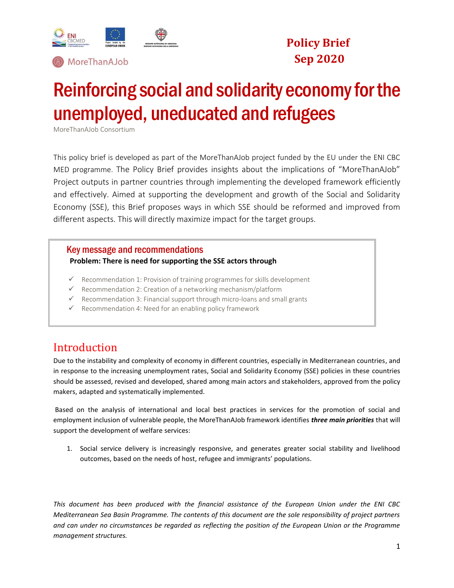



# **Policy Brief Sep 2020**

# Reinforcing social and solidarity economy for the unemployed, uneducated and refugees

MoreThanAJob Consortium

This policy brief is developed as part of the MoreThanAJob project funded by the EU under the ENI CBC MED programme. The Policy Brief provides insights about the implications of "MoreThanAJob" Project outputs in partner countries through implementing the developed framework efficiently and effectively. Aimed at supporting the development and growth of the Social and Solidarity Economy (SSE), this Brief proposes ways in which SSE should be reformed and improved from different aspects. This will directly maximize impact for the target groups.

### Key message and recommendations

#### **Problem: There is need for supporting the SSE actors through**

- $\checkmark$  Recommendation 1: Provision of training programmes for skills development
- ✓ Recommendation 2: Creation of a networking mechanism/platform
- ✓ Recommendation 3: Financial support through micro-loans and small grants
- $\checkmark$  Recommendation 4: Need for an enabling policy framework

### Introduction

Due to the instability and complexity of economy in different countries, especially in Mediterranean countries, and in response to the increasing unemployment rates, Social and Solidarity Economy (SSE) policies in these countries should be assessed, revised and developed, shared among main actors and stakeholders, approved from the policy makers, adapted and systematically implemented.

Based on the analysis of international and local best practices in services for the promotion of social and employment inclusion of vulnerable people, the MoreThanAJob framework identifies *three main priorities* that will support the development of welfare services:

1. Social service delivery is increasingly responsive, and generates greater social stability and livelihood outcomes, based on the needs of host, refugee and immigrants' populations.

*This document has been produced with the financial assistance of the European Union under the ENI CBC Mediterranean Sea Basin Programme. The contents of this document are the sole responsibility of project partners and can under no circumstances be regarded as reflecting the position of the European Union or the Programme management structures.*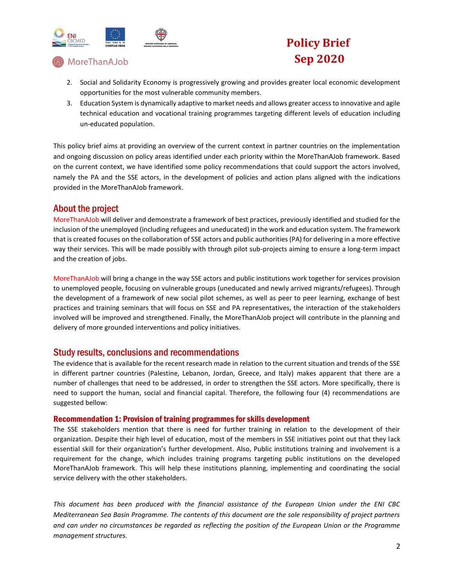

MoreThanAJob

# **Policy Brief Sep 2020**

- 2. Social and Solidarity Economy is progressively growing and provides greater local economic development opportunities for the most vulnerable community members.
- 3. Education System is dynamically adaptive to market needs and allows greater access to innovative and agile technical education and vocational training programmes targeting different levels of education including un-educated population.

This policy brief aims at providing an overview of the current context in partner countries on the implementation and ongoing discussion on policy areas identified under each priority within the MoreThanAJob framework. Based on the current context, we have identified some policy recommendations that could support the actors involved, namely the PA and the SSE actors, in the development of policies and action plans aligned with the indications provided in the MoreThanAJob framework.

### About the project

MoreThanAJob will deliver and demonstrate a framework of best practices, previously identified and studied for the inclusion of the unemployed (including refugees and uneducated) in the work and education system. The framework that is created focuses on the collaboration of SSE actors and public authorities (PA) for delivering in a more effective way their services. This will be made possibly with through pilot sub-projects aiming to ensure a long-term impact and the creation of jobs.

MoreThanAJob will bring a change in the way SSE actors and public institutions work together for services provision to unemployed people, focusing on vulnerable groups (uneducated and newly arrived migrants/refugees). Through the development of a framework of new social pilot schemes, as well as peer to peer learning, exchange of best practices and training seminars that will focus on SSE and PA representatives, the interaction of the stakeholders involved will be improved and strengthened. Finally, the MoreThanAJob project will contribute in the planning and delivery of more grounded interventions and policy initiatives.

### Study results, conclusions and recommendations

The evidence that is available for the recent research made in relation to the current situation and trends of the SSE in different partner countries (Palestine, Lebanon, Jordan, Greece, and Italy) makes apparent that there are a number of challenges that need to be addressed, in order to strengthen the SSE actors. More specifically, there is need to support the human, social and financial capital. Therefore, the following four (4) recommendations are suggested bellow:

#### Recommendation 1: Provision of training programmes for skills development

The SSE stakeholders mention that there is need for further training in relation to the development of their organization. Despite their high level of education, most of the members in SSE initiatives point out that they lack essential skill for their organization's further development. Also, Public institutions training and involvement is a requirement for the change, which includes training programs targeting public institutions on the developed MoreThanAJob framework. This will help these institutions planning, implementing and coordinating the social service delivery with the other stakeholders.

*This document has been produced with the financial assistance of the European Union under the ENI CBC Mediterranean Sea Basin Programme. The contents of this document are the sole responsibility of project partners and can under no circumstances be regarded as reflecting the position of the European Union or the Programme management structures.*